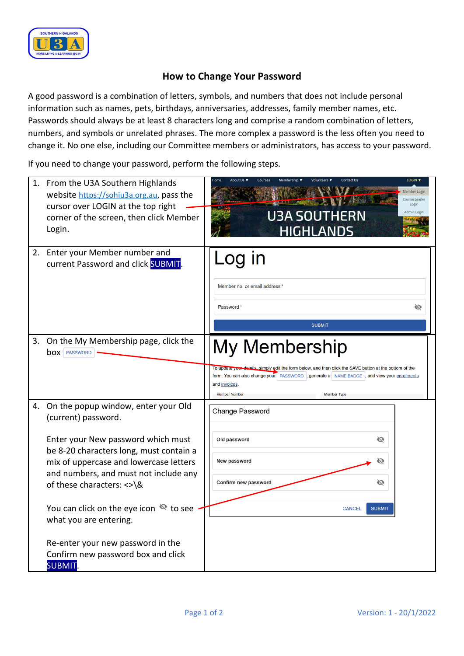

## **How to Change Your Password**

A good password is a combination of letters, symbols, and numbers that does not include personal information such as names, pets, birthdays, anniversaries, addresses, family member names, etc. Passwords should always be at least 8 characters long and comprise a random combination of letters, numbers, and symbols or unrelated phrases. The more complex a password is the less often you need to change it. No one else, including our Committee members or administrators, has access to your password.

If you need to change your password, perform the following steps.

| 1. | From the U3A Southern Highlands<br>website https://sohiu3a.org.au, pass the<br>cursor over LOGIN at the top right<br>corner of the screen, then click Member<br>Login.                                                                                                                                                                                                                                                                     | LOGIN V<br>Member Login<br>Course Leader<br>Login<br>Admin Login<br><b>U3A SOUTHERN</b><br><b>HIGHLANDS</b>                                                                                                                                                                |
|----|--------------------------------------------------------------------------------------------------------------------------------------------------------------------------------------------------------------------------------------------------------------------------------------------------------------------------------------------------------------------------------------------------------------------------------------------|----------------------------------------------------------------------------------------------------------------------------------------------------------------------------------------------------------------------------------------------------------------------------|
| 2. | Enter your Member number and<br>current Password and click SUBMIT.                                                                                                                                                                                                                                                                                                                                                                         | Log in<br>Member no. or email address'<br>Password*<br>Ø<br><b>SUBMIT</b>                                                                                                                                                                                                  |
| 3. | On the My Membership page, click the<br><b>box</b>   PASSWORD                                                                                                                                                                                                                                                                                                                                                                              | My Membership<br>letails, simply edit the form below, and then click the SAVE button at the bottom of the<br>form. You can also change your   PASSWORD  , generate a NAME BADGE<br>and view your enrolments<br>and invoices.<br><b>Member Number</b><br><b>Member Type</b> |
|    | 4. On the popup window, enter your Old<br>(current) password.<br>Enter your New password which must<br>be 8-20 characters long, must contain a<br>mix of uppercase and lowercase letters<br>and numbers, and must not include any<br>of these characters: <> \&<br>You can click on the eye icon $\mathbb{R}$ to see<br>what you are entering.<br>Re-enter your new password in the<br>Confirm new password box and click<br><b>SUBMIT</b> | Change Password<br>Ø<br>Old password<br>New password<br>Ø<br>Confirm new password<br>Ø<br><b>CANCEL</b><br><b>SUBMIT</b>                                                                                                                                                   |